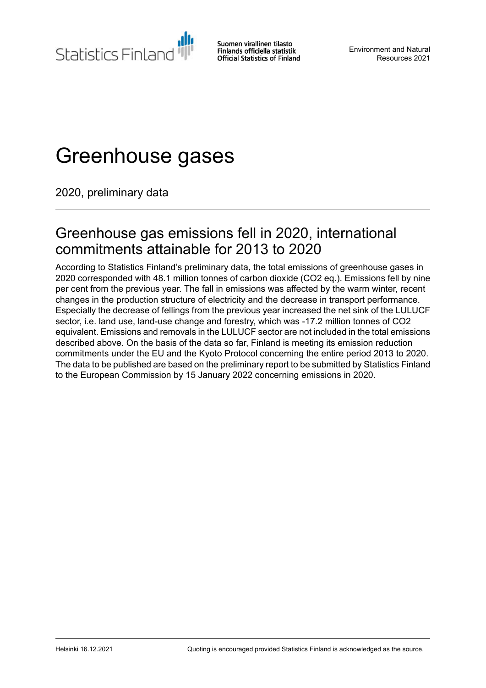**Statistics Finland** 

Suomen virallinen tilasto Finlands officiella statistik **Official Statistics of Finland** 

Environment and Natural Resources 2021

# Greenhouse gases

2020, preliminary data

### Greenhouse gas emissions fell in 2020, international commitments attainable for 2013 to 2020

According to Statistics Finland's preliminary data, the total emissions of greenhouse gases in 2020 corresponded with 48.1 million tonnes of carbon dioxide (CO2 eq.). Emissions fell by nine per cent from the previous year. The fall in emissions was affected by the warm winter, recent changes in the production structure of electricity and the decrease in transport performance. Especially the decrease of fellings from the previous year increased the net sink of the LULUCF sector, i.e. land use, land-use change and forestry, which was -17.2 million tonnes of CO2 equivalent. Emissions and removals in the LULUCF sector are not included in the total emissions described above. On the basis of the data so far, Finland is meeting its emission reduction commitments under the EU and the Kyoto Protocol concerning the entire period 2013 to 2020. The data to be published are based on the preliminary report to be submitted by Statistics Finland to the European Commission by 15 January 2022 concerning emissions in 2020.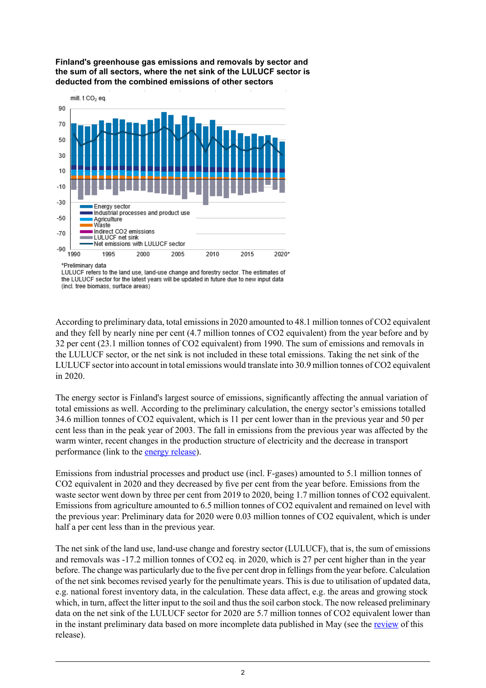

**Finland's greenhouse gas emissions and removals by sector and the sum of all sectors, where the net sink of the LULUCF sector is deducted from the combined emissions of other sectors**

\*Preliminary data

LULUCF refers to the land use, land-use change and forestry sector. The estimates of the LULUCF sector for the latest years will be updated in future due to new input data (incl. tree biomass, surface areas)

According to preliminary data, total emissionsin 2020 amounted to 48.1 million tonnes of CO2 equivalent and they fell by nearly nine per cent (4.7 million tonnes of CO2 equivalent) from the year before and by 32 per cent (23.1 million tonnes of CO2 equivalent) from 1990. The sum of emissions and removals in the LULUCF sector, or the net sink is not included in these total emissions. Taking the net sink of the LULUCF sector into account in total emissions would translate into 30.9 million tonnes of CO2 equivalent in 2020.

The energy sector is Finland's largest source of emissions, significantly affecting the annual variation of total emissions as well. According to the preliminary calculation, the energy sector's emissions totalled 34.6 million tonnes of CO2 equivalent, which is 11 per cent lower than in the previous year and 50 per cent less than in the peak year of 2003. The fall in emissions from the previous year was affected by the warm winter, recent changes in the production structure of electricity and the decrease in transport performance (link to the energy [release](http://stat.fi/til/ehk/2020/ehk_2020_2021-12-16_tie_001_en.html)).

Emissions from industrial processes and product use (incl. F-gases) amounted to 5.1 million tonnes of CO2 equivalent in 2020 and they decreased by five per cent from the year before. Emissions from the waste sector went down by three per cent from 2019 to 2020, being 1.7 million tonnes of CO2 equivalent. Emissions from agriculture amounted to 6.5 million tonnes of CO2 equivalent and remained on level with the previous year: Preliminary data for 2020 were 0.03 million tonnes of CO2 equivalent, which is under half a per cent less than in the previous year.

The net sink of the land use, land-use change and forestry sector (LULUCF), that is, the sum of emissions and removals was -17.2 million tonnes of CO2 eq. in 2020, which is 27 per cent higher than in the year before. The change was particularly due to the five per cent drop in fellings from the year before. Calculation of the net sink becomes revised yearly for the penultimate years. This is due to utilisation of updated data, e.g. national forest inventory data, in the calculation. These data affect, e.g. the areas and growing stock which, in turn, affect the litter input to the soil and thus the soil carbon stock. The now released preliminary data on the net sink of the LULUCF sector for 2020 are 5.7 million tonnes of CO2 equivalent lower than in the instant preliminary data based on more incomplete data published in May (see the [review](http://stat.fi/til/khki/2020/khki_2020_2021-12-16_kat_001_fi.html) of this release).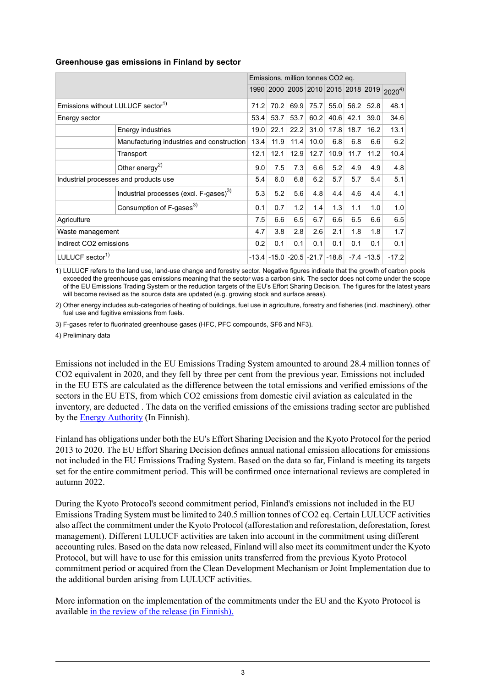#### **Greenhouse gas emissions in Finland by sector**

|                                               |                                                    | Emissions, million tonnes CO2 eq. |      |      |      |                                         |      |                                    |            |
|-----------------------------------------------|----------------------------------------------------|-----------------------------------|------|------|------|-----------------------------------------|------|------------------------------------|------------|
|                                               |                                                    |                                   |      |      |      |                                         |      | 1990 2000 2005 2010 2015 2018 2019 | $2020^{4}$ |
| Emissions without LULUCF sector <sup>1)</sup> |                                                    | 71.2                              | 70.2 | 69.9 | 75.7 | 55.0                                    | 56.2 | 52.8                               | 48.1       |
| Energy sector                                 |                                                    | 53.4                              | 53.7 | 53.7 | 60.2 | 40.6                                    | 42.1 | 39.0                               | 34.6       |
|                                               | Energy industries                                  | 19.0                              | 22.1 | 22.2 | 31.0 | 17.8                                    | 18.7 | 16.2                               | 13.1       |
|                                               | Manufacturing industries and construction          | 13.4                              | 11.9 | 11.4 | 10.0 | 6.8                                     | 6.8  | 6.6                                | 6.2        |
|                                               | Transport                                          | 12.1                              | 12.1 | 12.9 | 12.7 | 10.9                                    | 11.7 | 11.2                               | 10.4       |
|                                               | Other energy <sup>2)</sup>                         | 9.0                               | 7.5  | 7.3  | 6.6  | 5.2                                     | 4.9  | 4.9                                | 4.8        |
| Industrial processes and products use         |                                                    | 5.4                               | 6.0  | 6.8  | 6.2  | 5.7                                     | 5.7  | 5.4                                | 5.1        |
|                                               | Industrial processes (excl. F-gases) <sup>3)</sup> | 5.3                               | 5.2  | 5.6  | 4.8  | 4.4                                     | 4.6  | 4.4                                | 4.1        |
|                                               | Consumption of F-gases <sup>3)</sup>               | 0.1                               | 0.7  | 1.2  | 1.4  | 1.3                                     | 1.1  | 1.0                                | 1.0        |
| Agriculture                                   |                                                    | 7.5                               | 6.6  | 6.5  | 6.7  | 6.6                                     | 6.5  | 6.6                                | 6.5        |
| Waste management                              |                                                    | 4.7                               | 3.8  | 2.8  | 2.6  | 2.1                                     | 1.8  | 1.8                                | 1.7        |
| Indirect CO2 emissions                        |                                                    | 0.2                               | 0.1  | 0.1  | 0.1  | 0.1                                     | 0.1  | 0.1                                | 0.1        |
| LULUCF sector <sup>1)</sup>                   |                                                    |                                   |      |      |      | $-13.4$ $-15.0$ $-20.5$ $-21.7$ $-18.8$ |      | $-7.4$ $-13.5$                     | $-17.2$    |

LULUCF refers to the land use, land-use change and forestry sector. Negative figures indicate that the growth of carbon pools 1) exceeded the greenhouse gas emissions meaning that the sector was a carbon sink. The sector does not come under the scope of the EU Emissions Trading System or the reduction targets of the EU's Effort Sharing Decision. The figures for the latest years will become revised as the source data are updated (e.g. growing stock and surface areas).

Other energy includes sub-categories of heating of buildings, fuel use in agriculture, forestry and fisheries (incl. machinery), other 2) fuel use and fugitive emissions from fuels.

3) F-gases refer to fluorinated greenhouse gases (HFC, PFC compounds, SF6 and NF3).

4) Preliminary data

Emissions not included in the EU Emissions Trading System amounted to around 28.4 million tonnes of CO2 equivalent in 2020, and they fell by three per cent from the previous year. Emissions not included in the EU ETS are calculated as the difference between the total emissions and verified emissions of the sectors in the EU ETS, from which CO2 emissions from domestic civil aviation as calculated in the inventory, are deducted . The data on the verified emissions of the emissions trading sector are published by the **Energy [Authority](https://energiavirasto.fi/-/suomen-paastokauppasektorin-laitosten-paastot-pienenivat-3-6-miljoonaa-tonnia-vuonna-2020)** (In Finnish).

Finland has obligations under both the EU's Effort Sharing Decision and the Kyoto Protocol for the period 2013 to 2020. The EU Effort Sharing Decision defines annual national emission allocations for emissions not included in the EU Emissions Trading System. Based on the data so far, Finland is meeting its targets set for the entire commitment period. This will be confirmed once international reviews are completed in autumn 2022.

During the Kyoto Protocol's second commitment period, Finland's emissions not included in the EU Emissions Trading System must be limited to 240.5 million tonnes of CO2 eq. Certain LULUCF activities also affect the commitment under the Kyoto Protocol (afforestation and reforestation, deforestation, forest management). Different LULUCF activities are taken into account in the commitment using different accounting rules. Based on the data now released, Finland will also meet its commitment under the Kyoto Protocol, but will have to use for this emission units transferred from the previous Kyoto Protocol commitment period or acquired from the Clean Development Mechanism or Joint Implementation due to the additional burden arising from LULUCF activities.

More information on the implementation of the commitments under the EU and the Kyoto Protocol is available in the review of the release (in [Finnish\).](http://stat.fi/til/khki/2020/khki_2020_2021-12-16_kat_001_fi.html)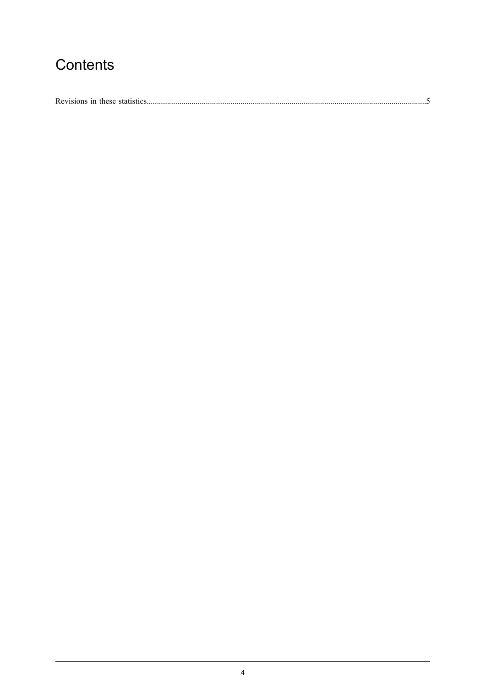### Contents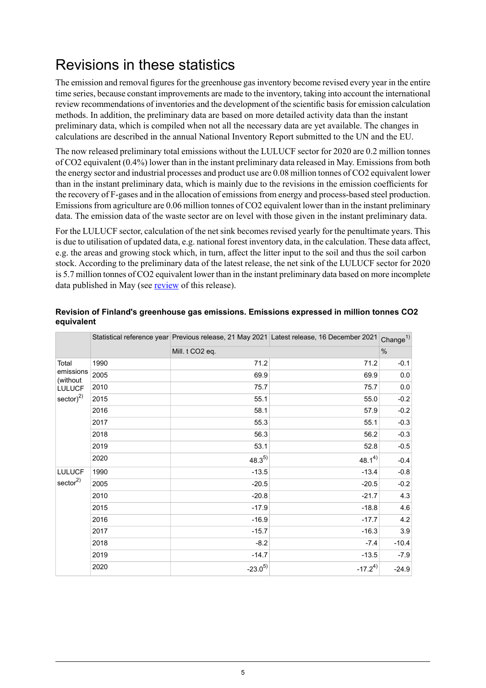## <span id="page-4-0"></span>Revisions in these statistics

The emission and removal figures for the greenhouse gas inventory become revised every year in the entire time series, because constant improvements are made to the inventory, taking into account the international review recommendations of inventories and the development of the scientific basis for emission calculation methods. In addition, the preliminary data are based on more detailed activity data than the instant preliminary data, which is compiled when not all the necessary data are yet available. The changes in calculations are described in the annual National Inventory Report submitted to the UN and the EU.

The now released preliminary total emissions without the LULUCF sector for 2020 are 0.2 million tonnes of CO2 equivalent (0.4%) lower than in the instant preliminary data released in May. Emissions from both the energy sector and industrial processes and product use are 0.08 million tonnes of CO2 equivalent lower than in the instant preliminary data, which is mainly due to the revisions in the emission coefficients for the recovery of F-gases and in the allocation of emissionsfrom energy and process-based steel production. Emissions from agriculture are 0.06 million tonnes of CO2 equivalent lower than in the instant preliminary data. The emission data of the waste sector are on level with those given in the instant preliminary data.

For the LULUCF sector, calculation of the net sink becomes revised yearly for the penultimate years. This is due to utilisation of updated data, e.g. national forest inventory data, in the calculation. These data affect, e.g. the areas and growing stock which, in turn, affect the litter input to the soil and thus the soil carbon stock. According to the preliminary data of the latest release, the net sink of the LULUCF sector for 2020 is 5.7 million tonnes of CO2 equivalent lower than in the instant preliminary data based on more incomplete data published in May (see [review](http://stat.fi/til/khki/2020/khki_2020_2021-12-16_kat_001_fi.html) of this release).

|                                                                    |      |                 | Statistical reference year Previous release, 21 May 2021 Latest release, 16 December 2021 Change <sup>1)</sup> |         |
|--------------------------------------------------------------------|------|-----------------|----------------------------------------------------------------------------------------------------------------|---------|
|                                                                    |      | Mill. t CO2 eq. |                                                                                                                |         |
| Total<br>emissions<br>(without<br><b>LULUCF</b><br>sector) $^{2)}$ | 1990 | 71.2            | 71.2                                                                                                           | $-0.1$  |
|                                                                    | 2005 | 69.9            | 69.9                                                                                                           | 0.0     |
|                                                                    | 2010 | 75.7            | 75.7                                                                                                           | 0.0     |
|                                                                    | 2015 | 55.1            | 55.0                                                                                                           | $-0.2$  |
|                                                                    | 2016 | 58.1            | 57.9                                                                                                           | $-0.2$  |
|                                                                    | 2017 | 55.3            | 55.1                                                                                                           | $-0.3$  |
|                                                                    | 2018 | 56.3            | 56.2                                                                                                           | $-0.3$  |
|                                                                    | 2019 | 53.1            | 52.8                                                                                                           | $-0.5$  |
|                                                                    | 2020 | $48.3^{5}$      | $48.1^{4}$                                                                                                     | $-0.4$  |
| <b>LULUCF</b><br>sector <sup>2</sup>                               | 1990 | $-13.5$         | $-13.4$                                                                                                        | $-0.8$  |
|                                                                    | 2005 | $-20.5$         | $-20.5$                                                                                                        | $-0.2$  |
|                                                                    | 2010 | $-20.8$         | $-21.7$                                                                                                        | 4.3     |
|                                                                    | 2015 | $-17.9$         | $-18.8$                                                                                                        | 4.6     |
|                                                                    | 2016 | $-16.9$         | $-17.7$                                                                                                        | 4.2     |
|                                                                    | 2017 | $-15.7$         | $-16.3$                                                                                                        | 3.9     |
|                                                                    | 2018 | $-8.2$          | $-7.4$                                                                                                         | $-10.4$ |
|                                                                    | 2019 | $-14.7$         | $-13.5$                                                                                                        | $-7.9$  |
|                                                                    | 2020 | $-23.0^{5}$     | $-17.2^{4}$                                                                                                    | $-24.9$ |

#### **Revision of Finland's greenhouse gas emissions. Emissions expressed in million tonnes CO2 equivalent**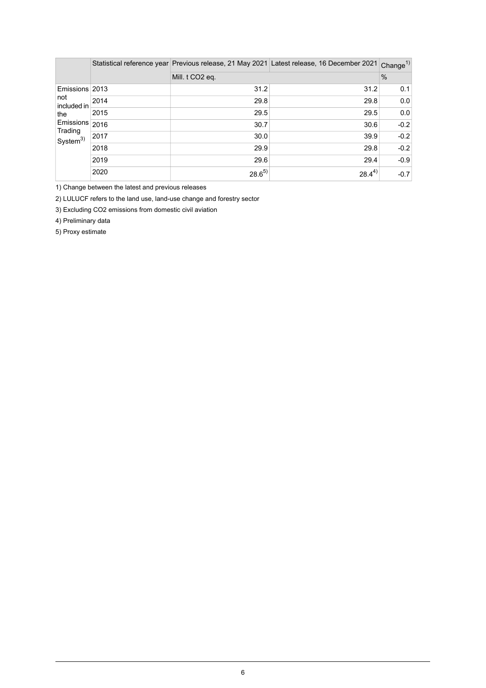|                                                                                          |      |                             | Statistical reference year Previous release, 21 May 2021 Latest release, 16 December 2021 | Change $^{1)}$ |
|------------------------------------------------------------------------------------------|------|-----------------------------|-------------------------------------------------------------------------------------------|----------------|
|                                                                                          |      | Mill. t CO <sub>2</sub> eq. |                                                                                           | $\frac{0}{0}$  |
| Emissions 2013<br>not<br>included in<br>the<br>Emissions<br>Trading<br>$S$ ystem $^{3)}$ |      | 31.2                        | 31.2                                                                                      | 0.1            |
|                                                                                          | 2014 | 29.8                        | 29.8                                                                                      | 0.0            |
|                                                                                          | 2015 | 29.5                        | 29.5                                                                                      | 0.0            |
|                                                                                          | 2016 | 30.7                        | 30.6                                                                                      | $-0.2$         |
|                                                                                          | 2017 | 30.0                        | 39.9                                                                                      | $-0.2$         |
|                                                                                          | 2018 | 29.9                        | 29.8                                                                                      | $-0.2$         |
|                                                                                          | 2019 | 29.6                        | 29.4                                                                                      | $-0.9$         |
|                                                                                          | 2020 | $28.6^{5}$                  | $28.4^{4)}$                                                                               | $-0.7$         |

1) Change between the latest and previous releases

2) LULUCF refers to the land use, land-use change and forestry sector

3) Excluding CO2 emissions from domestic civil aviation

4) Preliminary data

5) Proxy estimate